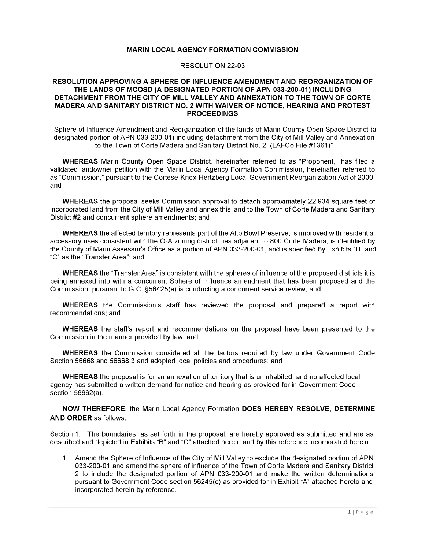#### **MARIN LOCAL AGENCY FORMATION COMMISSION**

#### RESOLUTION 22-03

#### **RESOLUTION APPROVING A SPHERE OF INFLUENCE AMENDMENT AND REORGANIZATION OF THE LANDS OF MCOSD (A DESIGNATED PORTION OF APN 033-200-01) INCLUDING DETACHMENT FROM THE CITY OF MILL VALLEY AND ANNEXATION TO THE TOWN OF CORTE MADERA AND SANITARY DISTRICT NO. 2 WITH WAIVER OF NOTICE, HEARING AND PROTEST PROCEEDINGS**

"Sphere of Influence Amendment and Reorganization of the lands of Marin County Open Space District (a designated portion of APN 033-200-01) including detachment from the City of Mill Valley and Annexation to the Town of Corte Madera and Sanitary District No. 2. (LAFCo File #1361)"

**WHEREAS** Marin County Open Space District, hereinafter referred to as "Proponent," has filed a validated landowner petition with the Marin Local Agency Formation Commission, hereinafter referred to as "Commission," pursuant to the Cortese-Knox-Hertzberg Local Government Reorganization Act of 2000; and

**WHEREAS** the proposal seeks Commission approval to detach approximately 22,934 square feet of incorporated land from the City of Mill Valley and annex this land to the Town of Corte Madera and Sanitary District #2 and concurrent sphere amendments; and

**WHEREAS** the affected territory represents part of the Alto Bowl Preserve, is improved with residential accessory uses consistent with the O-A zoning district, lies adjacent to 800 Corte Madera, is identified by the County of Marin Assessor's Office as a portion of APN 033-200-01, and is specified by Exhibits "B" and "C" as the "Transfer Area"; and

**WHEREAS** the "Transfer Area" is consistent with the spheres of influence of the proposed districts it is being annexed into with a concurrent Sphere of Influence amendment that has been proposed and the Commission, pursuant to G.C. §56425(e) is conducting a concurrent service review; and,

**WHEREAS** the Commission's staff has reviewed the proposal and prepared a report with recommendations; and

**WHEREAS** the staff's report and recommendations on the proposal have been presented to the Commission in the manner provided by law; and

**WHEREAS** the Commission considered all the factors required by law under Government Code Section 56668 and 56668.3 and adopted local policies and procedures; and

**WHEREAS** the proposal is for an annexation of territory that is uninhabited, and no affected local agency has submitted a written demand for notice and hearing as provided for in Government Code section 56662(a).

**NOW THEREFORE,** the Marin Local Agency Formation **DOES HEREBY RESOLVE, DETERMINE AND ORDER** as follows:

Section 1. The boundaries, as set forth in the proposal, are hereby approved as submitted and are as described and depicted in Exhibits "B" and "C" attached hereto and by this reference incorporated herein.

1. Amend the Sphere of Influence of the City of Mill Valley to exclude the designated portion of AP<sup>N</sup> 033-200-01 and amend the sphere of influence of the Town of Corte Madera and Sanitary District 2 to include the designated portion of APN 033-200-01 and make the written determinations pursuant to Government Code section 56245(e) as provided for in Exhibit "A" attached hereto and incorporated herein by reference.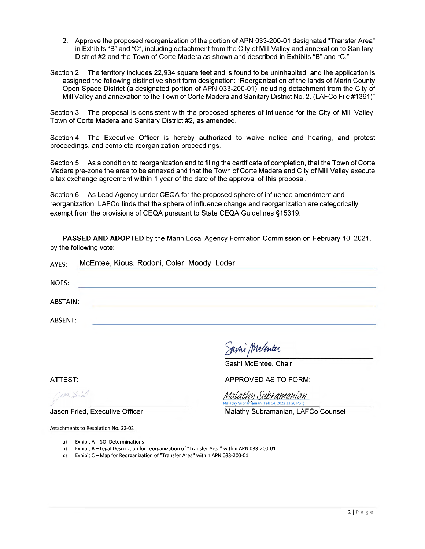2. Approve the proposed reorganization of the portion of APN 033-200-01 designated "Transfer Area" in Exhibits "B" and "C", including detachment from the City of Mill Valley and annexation to Sanitary District #2 and the Town of Corte Madera as shown and described in Exhibits "B" and "C."

Section 2. The territory includes 22,934 square feet and is found to be uninhabited, and the application is assigned the following distinctive short form designation: "Reorganization of the lands of Marin County Open Space District (a designated portion of APN 033-200-01) including detachment from the City of Mill Valley and annexation to the Town of Corte Madera and Sanitary District No. 2. (LAFCo File #1361)"

Section 3. The proposal is consistent with the proposed spheres of influence for the City of Mill Valley, Town of Corte Madera and Sanitary District #2, as amended.

Section 4. The Executive Officer is hereby authorized to waive notice and hearing, and protest proceedings, and complete reorganization proceedings.

Section 5. As a condition to reorganization and to filing the certificate of completion, that the Town of Corte Madera pre-zone the area to be annexed and that the Town of Corte Madera and City of Mill Valley execute a tax exchange agreement within <sup>1</sup> year of the date of the approval of this proposal.

Section 6. As Lead Agency under CEQA for the proposed sphere of influence amendment and reorganization, LAFCo finds that the sphere of influence change and reorganization are categorically exempt from the provisions of CEQA pursuant to State CEQA Guidelines §15319.

**PASSED AND ADOPTED** by the Marin Local Agency Formation Commission on February 10, 2021, by the following vote:

| AYES:    | McEntee, Kious, Rodoni, Coler, Moody, Loder |
|----------|---------------------------------------------|
| NOES:    |                                             |
| ABSTAIN: |                                             |
| ABSENT:  |                                             |

Savni McGenter

Sashi McEntee, Chair

ATTEST:

om 4.

Jason Fried, Executive Officer

APPROVED AS TO FORM: <u>lathy Subramanian</u> iian (Feb 14, 2022 13:20 PST)

Malathy Subramanian, LAFCo Counsel

Attachments to Resolution No. 22-03

- a) Exhibit  $A SOI$  Determinations<br>b) Exhibit  $B Legal$  Description for
- Exhibit B Legal Description for reorganization of "Transfer Area" within APN 033-200-01
- c) Exhibit C Map for Reorganization of "Transfer Area" within APN 033-200-01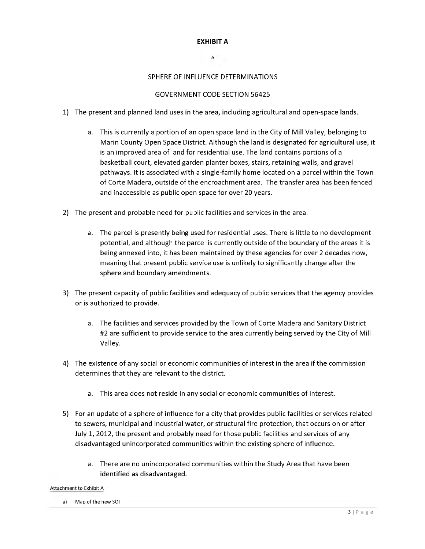#### **EXHIBIT A**

 $\mathbf{u}$ 

#### SPHERE OF INFLUENCE DETERMINATIONS

#### GOVERNMENT CODE SECTION 56425

- 1) The present and planned land uses in the area, including agricultural and open-space lands.
	- a. This is currently a portion of an open space land in the City of Mill Valley, belonging to Marin County Open Space District. Although the land is designated for agricultural use, it is an improved area of land for residential use. The land contains portions of a basketball court, elevated garden planter boxes, stairs, retaining walls, and gravel pathways. It is associated with a single-family home located on a parcel within the Town of Corte Madera, outside of the encroachment area. The transfer area has been fenced and inaccessible as public open space for over 20 years.
- 2) The present and probable need for public facilities and services in the area.
	- a. The parcel is presently being used for residential uses. There is little to no development potential, and although the parcel is currently outside of the boundary of the areas it is being annexed into, it has been maintained by these agencies for over 2 decades now, meaning that present public service use is unlikely to significantly change after the sphere and boundary amendments.
- 3) The present capacity of public facilities and adequacy of public services that the agency provides or is authorized to provide.
	- a. The facilities and services provided by the Town of Corte Madera and Sanitary District #2 are sufficient to provide service to the area currently being served by the City of Mill Valley.
- 4) The existence of any social or economic communities of interest in the area if the commission determines that they are relevant to the district.
	- a. This area does not reside in any social or economic communities of interest.
- 5) For an update of a sphere of influence for a city that provides public facilities or services related to sewers, municipal and industrial water, or structural fire protection, that occurs on or after July 1, 2012, the present and probably need for those public facilities and services of any disadvantaged unincorporated communities within the existing sphere of influence.
	- a. There are no unincorporated communities within the Study Area that have been identified as disadvantaged.

#### Attachment to Exhibit A

a) Map of the new SOI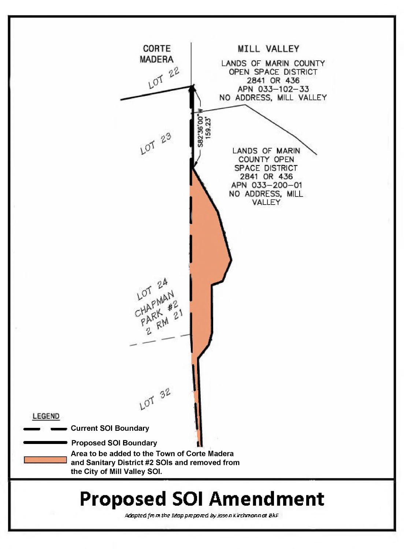

*Adapted from the Map prepared by Jason Kirchmann at BKF*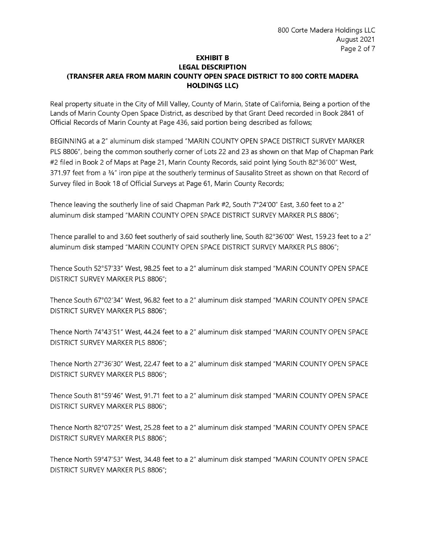# **EXHIBIT B**

### **LEGAL DESCRIPTION (TRANSFER AREA FROM MARIN COUNTY OPEN SPACE DISTRICT TO 800 CORTE MADERA HOLDINGS LLC)**

Real property situate in the City of Mill Valley, County of Marin, State of California, Being a portion of the Lands of Marin County Open Space District, as described by that Grant Deed recorded in Book 2841 of Official Records of Marin County at Page 436, said portion being described as follows;

BEGINNING at a 2" aluminum disk stamped "MARIN COUNTY OPEN SPACE DISTRICT SURVEY MARKER PLS 8806", being the common southerly corner of Lots 22 and 23 as shown on that Map of Chapman Park #2 filed in Book 2 of Maps at Page 21, Marin County Records, said point lying South 82°36'00" West, 371.97 feet from a 3/4" iron pipe at the southerly terminus of Sausalito Street as shown on that Record of Survey filed in Book 18 of Official Surveys at Page 61, Marin County Records;

Thence leaving the southerly line of said Chapman Park #2, South 7°24'00" East, 3.60 feet to a 2" aluminum disk stamped "MARIN COUNTY OPEN SPACE DISTRICT SURVEY MARKER PLS 8806";

Thence parallel to and 3.60 feet southerly of said southerly line, South 82°36'00" West, 159.23 feet to a 2" aluminum disk stamped "MARIN COUNTY OPEN SPACE DISTRICT SURVEY MARKER PLS 8806";

Thence South 52°57'33" West, 98.25 feet to a 2" aluminum disk stamped "MARIN COUNTY OPEN SPACE DISTRICT SURVEY MARKER PLS 8806";

Thence South 67°02'34" West, 96.82 feet to a 2" aluminum disk stamped "MARIN COUNTY OPEN SPACE DISTRICT SURVEY MARKER PLS 8806";

Thence North 74°43'51" West, 44.24 feet to <sup>a</sup> 2" aluminum disk stamped "MARIN COUNTY OPEN SPACE DISTRICT SURVEY MARKER PLS 8806";

Thence North 27°36'30" West, 22.47 feet to <sup>a</sup> 2" aluminum disk stamped "MARIN COUNTY OPEN SPACE DISTRICT SURVEY MARKER PLS 8806";

Thence South 81°59'46" West, 91.71 feet to a 2" aluminum disk stamped "MARIN COUNTY OPEN SPACE DISTRICT SURVEY MARKER PLS 8806";

Thence North 82°07'25" West, 25.28 feet to a 2" aluminum disk stamped "MARIN COUNTY OPEN SPACE DISTRICT SURVEY MARKER PLS 8806";

Thence North 59°47'53" West, 34.48 feet to <sup>a</sup> 2" aluminum disk stamped "MARIN COUNTY OPEN SPACE DISTRICT SURVEY MARKER PLS 8806";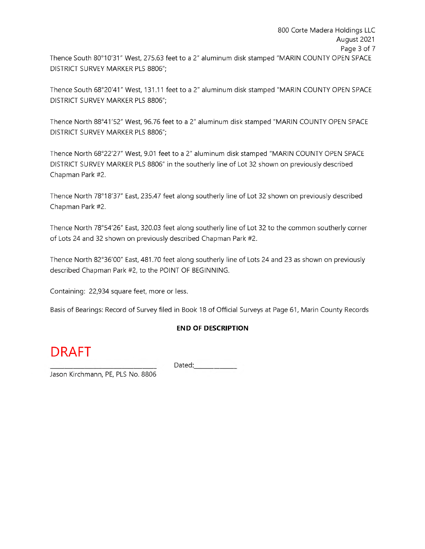Thence South 80°10'31" West, 275.63 feet to a 2" aluminum disk stamped "MARIN COUNTY OPEN SPACE DISTRICT SURVEY MARKER PLS 8806";

Thence South 68°20'41" West, 131.11 feet to a 2" aluminum disk stamped "MARIN COUNTY OPEN SPACE DISTRICT SURVEY MARKER PLS 8806";

Thence North 88°41'52" West, 96.76 feet to <sup>a</sup> 2" aluminum disk stamped "MARIN COUNTY OPEN SPACE DISTRICT SURVEY MARKER PLS 8806";

Thence North 68°22'27" West, 9.01 feet to a 2" aluminum disk stamped "MARIN COUNTY OPEN SPACE DISTRICT SURVEY MARKER PLS 8806" in the southerly line of Lot 32 shown on previously described Chapman Park #2.

Thence North 78°18'37" East, 235.47 feet along southerly line of Lot 32 shown on previously described Chapman Park #2.

Thence North 78°54'26" East, 320.03 feet along southerly line of Lot 32 to the common southerly corner of Lots 24 and 32 shown on previously described Chapman Park #2.

Thence North 82°36'00" East, 481.70 feet along southerly line of Lots 24 and 23 as shown on previously described Chapman Park #2, to the POINT OF BEGINNING.

Containing: 22,934 square feet, more or less.

Basis of Bearings: Record of Survey filed in Book 18 of Official Surveys at Page 61, Marin County Records

## **END OF DESCRIPTION**

# DRAFT

Dated: **Example** 

Jason Kirchmann, PE, PLS No. 8806